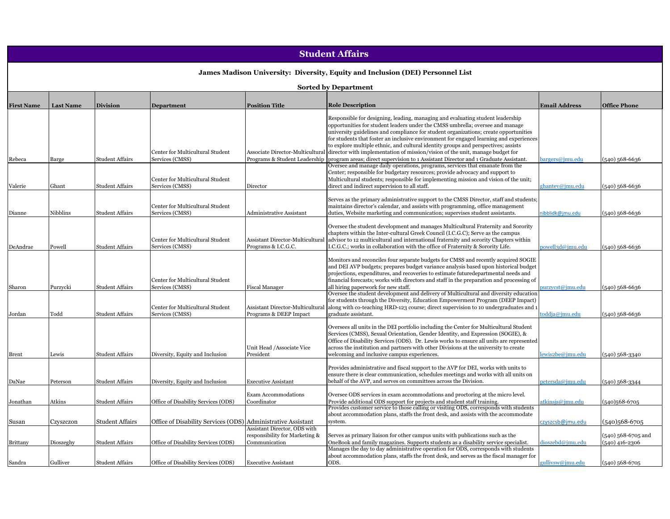# **Student Affairs**

## **James Madison University: Diversity, Equity and Inclusion (DEI) Personnel List**

#### **Sorted by Department**

| <b>First Name</b> | <b>Last Name</b> | <b>Division</b>        | <b>Department</b>                                            | <b>Position Title</b>                           | <b>Role Description</b>                                                                                                                                                          | <b>Email Address</b> | <b>Office Phone</b> |
|-------------------|------------------|------------------------|--------------------------------------------------------------|-------------------------------------------------|----------------------------------------------------------------------------------------------------------------------------------------------------------------------------------|----------------------|---------------------|
|                   |                  |                        |                                                              |                                                 | Responsible for designing, leading, managing and evaluating student leadership                                                                                                   |                      |                     |
|                   |                  |                        |                                                              |                                                 | opportunities for student leaders under the CMSS umbrella; oversee and manage                                                                                                    |                      |                     |
|                   |                  |                        |                                                              |                                                 | university guidelines and compliance for student organizations; create opportunities<br>for students that foster an inclusive environment for engaged learning and experiences   |                      |                     |
|                   |                  |                        |                                                              |                                                 | to explore multiple ethnic, and cultural identity groups and perspectives; assists                                                                                               |                      |                     |
|                   |                  |                        | Center for Multicultural Student                             | Associate Director-Multicultural                | director with implementation of mission/vision of the unit, manage budget for                                                                                                    |                      |                     |
| Rebeca            | Barge            | Student Affairs        | Services (CMSS)                                              | Programs & Student Leadership                   | program areas; direct supervision to 1 Assistant Director and 1 Graduate Assistant.                                                                                              | bargers@imu.edu      | $(540)$ 568-6636    |
|                   |                  |                        |                                                              |                                                 | Oversee and manage daily operations, programs, services that emanate from the                                                                                                    |                      |                     |
|                   |                  |                        | Center for Multicultural Student                             |                                                 | Center; responsible for budgetary resources; provide advocacy and support to<br>Multicultural students; responsible for implementing mission and vision of the unit;             |                      |                     |
| Valerie           | Ghant            | Student Affairs        | Services (CMSS)                                              | Director                                        | direct and indirect supervision to all staff.                                                                                                                                    | ghantev@jmu.edu      | (540) 568-6636      |
|                   |                  |                        |                                                              |                                                 |                                                                                                                                                                                  |                      |                     |
|                   |                  |                        |                                                              |                                                 | Serves as the primary administrative support to the CMSS Director, staff and students;                                                                                           |                      |                     |
|                   |                  |                        | Center for Multicultural Student                             |                                                 | maintains director's calendar, and assists with programming, office management                                                                                                   |                      |                     |
| Dianne            | Nibblins         | Student Affairs        | Services (CMSS)                                              | <b>Administrative Assistant</b>                 | duties, Website marketing and communication; supervises student assistants.                                                                                                      | nibblidk@jmu.edu     | $(540)$ 568-6636    |
|                   |                  |                        |                                                              |                                                 | Oversee the student development and manages Multicultural Fraternity and Sorority                                                                                                |                      |                     |
|                   |                  |                        |                                                              |                                                 | chapters within the Inter-cultural Greek Council (I.C.G.C); Serve as the campus                                                                                                  |                      |                     |
|                   |                  |                        | Center for Multicultural Student                             | Assistant Director-Multicultural                | advisor to 12 multicultural and international fraternity and sorority Chapters within                                                                                            |                      |                     |
| DeAndrae          | Powell           | Student Affairs        | Services (CMSS)                                              | Programs & I.C.G.C.                             | I.C.G.C.; works in collaboration with the office of Fraternity & Sorority Life.                                                                                                  | powell3d@jmu.edu     | 540) 568-6636       |
|                   |                  |                        |                                                              |                                                 | Monitors and reconciles four separate budgets for CMSS and recently acquired SOGIE                                                                                               |                      |                     |
|                   |                  |                        |                                                              |                                                 | and DEI AVP budgets; prepares budget variance analysis based upon historical budget                                                                                              |                      |                     |
|                   |                  |                        |                                                              |                                                 | projections, expenditures, and recoveries to estimate futuredepartmental needs and                                                                                               |                      |                     |
|                   |                  |                        | Center for Multicultural Student                             |                                                 | financial forecasts; works with directors and staff in the preparation and processing of                                                                                         |                      |                     |
| Sharon            | Purzycki         | Student Affairs        | Services (CMSS)                                              | <b>Fiscal Manager</b>                           | all hiring paperwork for new staff.                                                                                                                                              | ourzycst@jmu.edu     | (540) 568-6636      |
|                   |                  |                        |                                                              |                                                 | Oversee the student development and delivery of Multicultural and diversity education                                                                                            |                      |                     |
|                   |                  |                        | Center for Multicultural Student                             | <b>Assistant Director-Multicultural</b>         | for students through the Diversity, Education Empowerment Program (DEEP Impact)<br>along with co-teaching HRD-123 course; direct supervision to 10 undergraduates and 1          |                      |                     |
| Jordan            | $\rm Todd$       | <b>Student Affairs</b> | Services (CMSS)                                              | Programs & DEEP Impact                          | graduate assistant.                                                                                                                                                              | toddja@jmu.edu       | $(540)$ 568-6636    |
|                   |                  |                        |                                                              |                                                 |                                                                                                                                                                                  |                      |                     |
|                   |                  |                        |                                                              |                                                 | Oversees all units in the DEI portfolio including the Center for Multicultural Student                                                                                           |                      |                     |
|                   |                  |                        |                                                              |                                                 | Services (CMSS), Sexual Orientation, Gender Identity, and Expression (SOGIE), &                                                                                                  |                      |                     |
|                   |                  |                        |                                                              | Unit Head /Associate Vice                       | Office of Disability Services (ODS). Dr. Lewis works to ensure all units are represented<br>across the institution and partners with other Divisions at the university to create |                      |                     |
| Brent             | Lewis            | Student Affairs        | Diversity, Equity and Inclusion                              | President                                       | welcoming and inclusive campus experiences.                                                                                                                                      | lewis2be@jmu.edu     | (540) 568-3340      |
|                   |                  |                        |                                                              |                                                 |                                                                                                                                                                                  |                      |                     |
|                   |                  |                        |                                                              |                                                 | Provides administrative and fiscal support to the AVP for DEI, works with units to                                                                                               |                      |                     |
|                   |                  |                        |                                                              |                                                 | ensure there is clear communication, schedules meetings and works with all units on                                                                                              |                      |                     |
| DaNae             | Peterson         | Student Affairs        | Diversity, Equity and Inclusion                              | <b>Executive Assistant</b>                      | behalf of the AVP, and serves on committees across the Division.                                                                                                                 | petersda@jmu.edu     | (540) 568-3344      |
|                   |                  |                        |                                                              | <b>Exam Accommodations</b>                      | Oversee ODS services in exam accommodations and proctoring at the micro level.                                                                                                   |                      |                     |
| Jonathan          | Atkins           | Student Affairs        | Office of Disability Services (ODS)                          | Coordinator                                     | Provide additional ODS support for projects and student staff training.                                                                                                          | atkinsjs@jmu.edu     | (540)568-6705       |
|                   |                  |                        |                                                              |                                                 | Provides customer service to those calling or visiting ODS, corresponds with students                                                                                            |                      |                     |
|                   |                  |                        |                                                              |                                                 | about accommodation plans, staffs the front desk, and assists with the accommodate                                                                                               |                      |                     |
| Susan             | Czyszczon        | <b>Student Affairs</b> | Office of Disability Services (ODS) Administrative Assistant |                                                 | system.                                                                                                                                                                          | czyszcsb@jmu.edu     | (540)568-6705       |
|                   |                  |                        |                                                              | Assistant Director, ODS with                    |                                                                                                                                                                                  |                      |                     |
|                   |                  |                        |                                                              | responsibility for Marketing &<br>Communication | Serves as primary liaison for other campus units with publications such as the                                                                                                   |                      | (540) 568-6705 and  |
| <b>Brittany</b>   | Dioszeghy        | Student Affairs        | Office of Disability Services (ODS)                          |                                                 | OneBook and family magazines. Supports students as a disability service specialist.<br>Manages the day to day administrative operation for ODS, corresponds with students        | dioszebd@jmu.edu     | (540) 416-2306      |
|                   |                  |                        |                                                              |                                                 | about accommodation plans, staffs the front desk, and serves as the fiscal manager for                                                                                           |                      |                     |
| Sandra            | Gulliver         | Student Affairs        | Office of Disability Services (ODS)                          | <b>Executive Assistant</b>                      | ODS.                                                                                                                                                                             | gullivsw@jmu.edu     | $(540)$ 568-6705    |